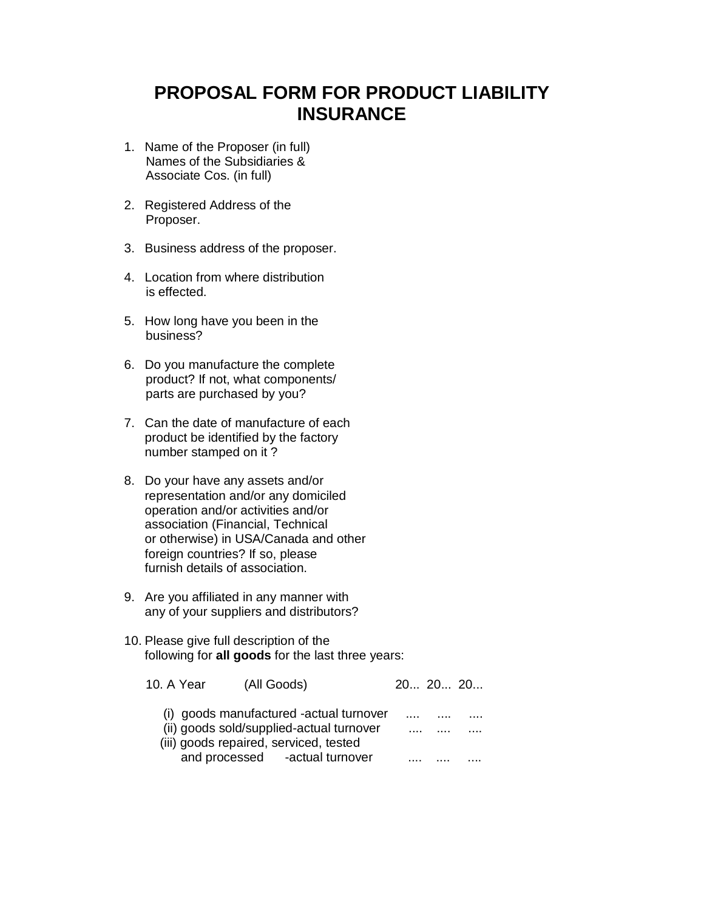## **PROPOSAL FORM FOR PRODUCT LIABILITY INSURANCE**

- 1. Name of the Proposer (in full) Names of the Subsidiaries & Associate Cos. (in full)
- 2. Registered Address of the Proposer.
- 3. Business address of the proposer.
- 4. Location from where distribution is effected.
- 5. How long have you been in the business?
- 6. Do you manufacture the complete product? If not, what components/ parts are purchased by you?
- 7. Can the date of manufacture of each product be identified by the factory number stamped on it ?
- 8. Do your have any assets and/or representation and/or any domiciled operation and/or activities and/or association (Financial, Technical or otherwise) in USA/Canada and other foreign countries? If so, please furnish details of association.
- 9. Are you affiliated in any manner with any of your suppliers and distributors?
- 10. Please give full description of the following for **all goods** for the last three years:

| 10. A Year<br>(All Goods)                | 20 20 20 |  |
|------------------------------------------|----------|--|
| (i) goods manufactured -actual turnover  |          |  |
| (ii) goods sold/supplied-actual turnover | <br>.    |  |
| (iii) goods repaired, serviced, tested   |          |  |
| and processed -actual turnover           |          |  |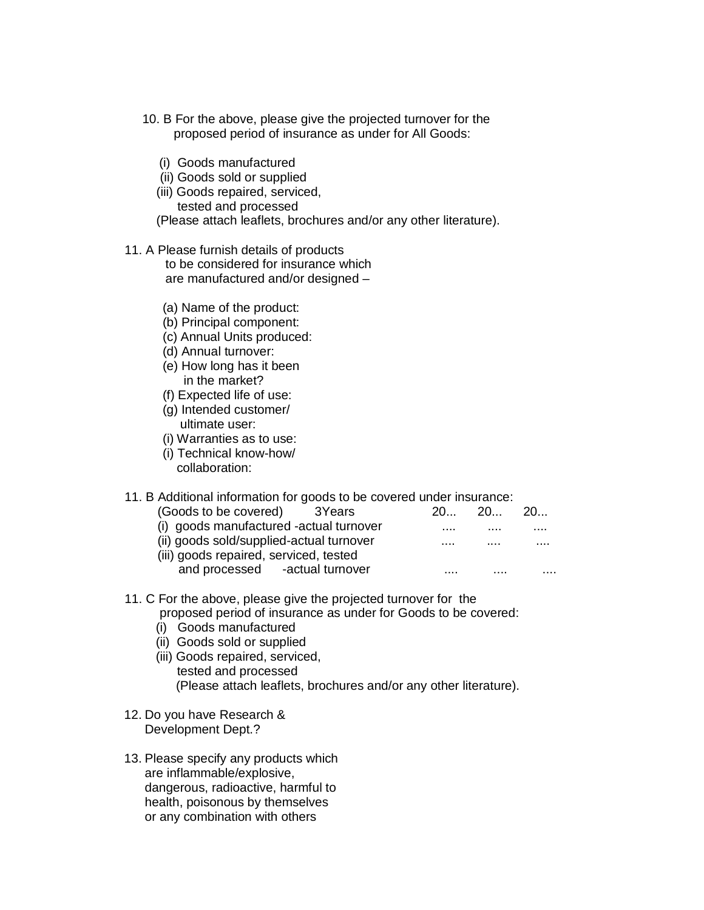- 10. B For the above, please give the projected turnover for the proposed period of insurance as under for All Goods:
	- (i) Goods manufactured
	- (ii) Goods sold or supplied
	- (iii) Goods repaired, serviced, tested and processed

(Please attach leaflets, brochures and/or any other literature).

11. A Please furnish details of products

 to be considered for insurance which are manufactured and/or designed –

- (a) Name of the product:
- (b) Principal component:
- (c) Annual Units produced:
- (d) Annual turnover:
- (e) How long has it been in the market?
- (f) Expected life of use:
- (g) Intended customer/ ultimate user:
- (i) Warranties as to use:
- (i) Technical know-how/ collaboration:

## 11. B Additional information for goods to be covered under insurance:

| (Goods to be covered) 3Years             | 20. | 20. | 20 |
|------------------------------------------|-----|-----|----|
| (i) goods manufactured -actual turnover  |     |     | .  |
| (ii) goods sold/supplied-actual turnover | .   | .   |    |
| (iii) goods repaired, serviced, tested   |     |     |    |
| and processed -actual turnover           | .   | .   | .  |

## 11. C For the above, please give the projected turnover for the proposed period of insurance as under for Goods to be covered:

- (i) Goods manufactured
- (ii) Goods sold or supplied
- (iii) Goods repaired, serviced, tested and processed (Please attach leaflets, brochures and/or any other literature).
- 12. Do you have Research & Development Dept.?
- 13. Please specify any products which are inflammable/explosive, dangerous, radioactive, harmful to health, poisonous by themselves or any combination with others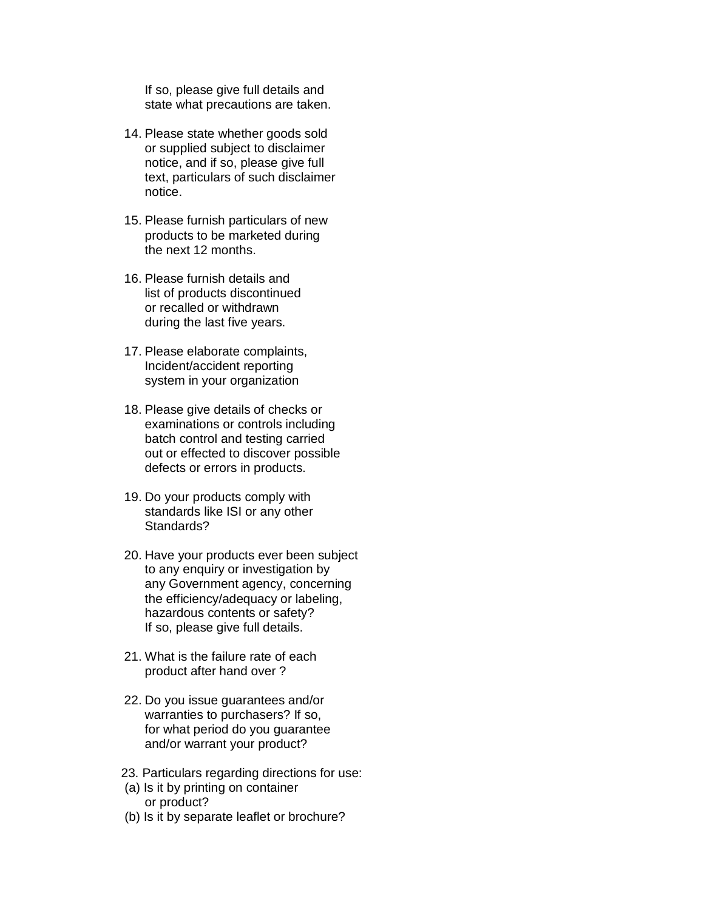If so, please give full details and state what precautions are taken.

- 14. Please state whether goods sold or supplied subject to disclaimer notice, and if so, please give full text, particulars of such disclaimer notice.
- 15. Please furnish particulars of new products to be marketed during the next 12 months.
- 16. Please furnish details and list of products discontinued or recalled or withdrawn during the last five years.
- 17. Please elaborate complaints, Incident/accident reporting system in your organization
- 18. Please give details of checks or examinations or controls including batch control and testing carried out or effected to discover possible defects or errors in products.
- 19. Do your products comply with standards like ISI or any other Standards?
- 20. Have your products ever been subject to any enquiry or investigation by any Government agency, concerning the efficiency/adequacy or labeling, hazardous contents or safety? If so, please give full details.
- 21. What is the failure rate of each product after hand over ?
- 22. Do you issue guarantees and/or warranties to purchasers? If so, for what period do you guarantee and/or warrant your product?
- 23. Particulars regarding directions for use:
- (a) Is it by printing on container or product?
- (b) Is it by separate leaflet or brochure?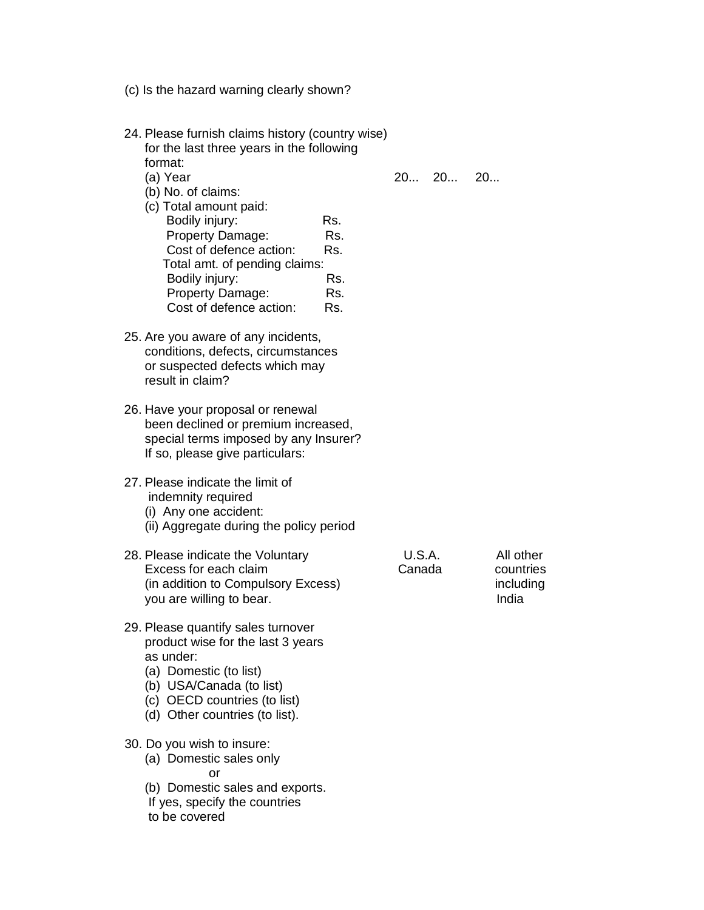- (c) Is the hazard warning clearly shown?
- 24. Please furnish claims history (country wise) for the last three years in the following format: (a) Year 20... 20... 20...
	-
	- (b) No. of claims: (c) Total amount paid: Bodily injury: Rs. Property Damage: Rs. Cost of defence action: Rs. Total amt. of pending claims: Bodily injury: Rs. Property Damage: Rs. Cost of defence action: Rs.
- 25. Are you aware of any incidents, conditions, defects, circumstances or suspected defects which may result in claim?
- 26. Have your proposal or renewal been declined or premium increased, special terms imposed by any Insurer? If so, please give particulars:
- 27. Please indicate the limit of indemnity required
	- (i) Any one accident:
	- (ii) Aggregate during the policy period
- 28. Please indicate the Voluntary **U.S.A.** All other<br>Excess for each claim **Canada** countries Excess for each claim Canada countries (in addition to Compulsory Excess) including including you are willing to bear. The state of the state of the local problem in the local problem in the local problem
- 29. Please quantify sales turnover product wise for the last 3 years as under:
	- (a) Domestic (to list)
	- (b) USA/Canada (to list)
	- (c) OECD countries (to list)
	- (d) Other countries (to list).
- 30. Do you wish to insure:
- (a) Domestic sales only or and the contract of the contract of the contract of the contract of the contract of the contract of the con
	- (b) Domestic sales and exports.
	- If yes, specify the countries
	- to be covered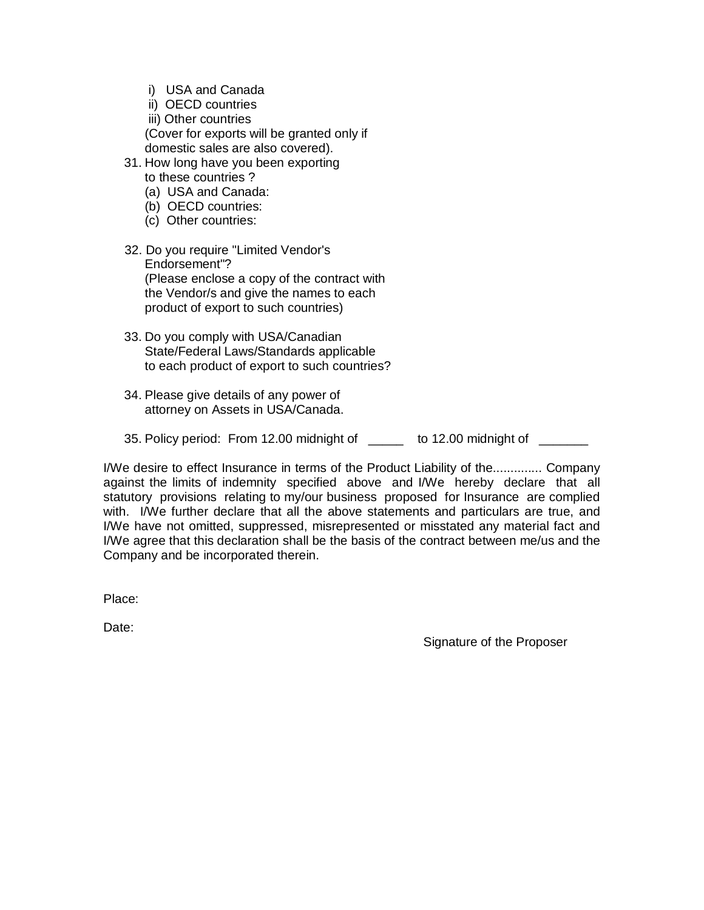- i) USA and Canada
- ii) OECD countries
- iii) Other countries (Cover for exports will be granted only if domestic sales are also covered).
- 31. How long have you been exporting to these countries ?
	- (a) USA and Canada:
	- (b) OECD countries:
	- (c) Other countries:
- 32. Do you require "Limited Vendor's Endorsement"? (Please enclose a copy of the contract with the Vendor/s and give the names to each product of export to such countries)
- 33. Do you comply with USA/Canadian State/Federal Laws/Standards applicable to each product of export to such countries?
- 34. Please give details of any power of attorney on Assets in USA/Canada.
- 35. Policy period: From 12.00 midnight of \_\_\_\_\_ to 12.00 midnight of \_\_\_\_\_\_

I/We desire to effect Insurance in terms of the Product Liability of the.............. Company against the limits of indemnity specified above and I/We hereby declare that all statutory provisions relating to my/our business proposed for Insurance are complied with. I/We further declare that all the above statements and particulars are true, and I/We have not omitted, suppressed, misrepresented or misstated any material fact and I/We agree that this declaration shall be the basis of the contract between me/us and the Company and be incorporated therein.

Place:

Date:

Signature of the Proposer